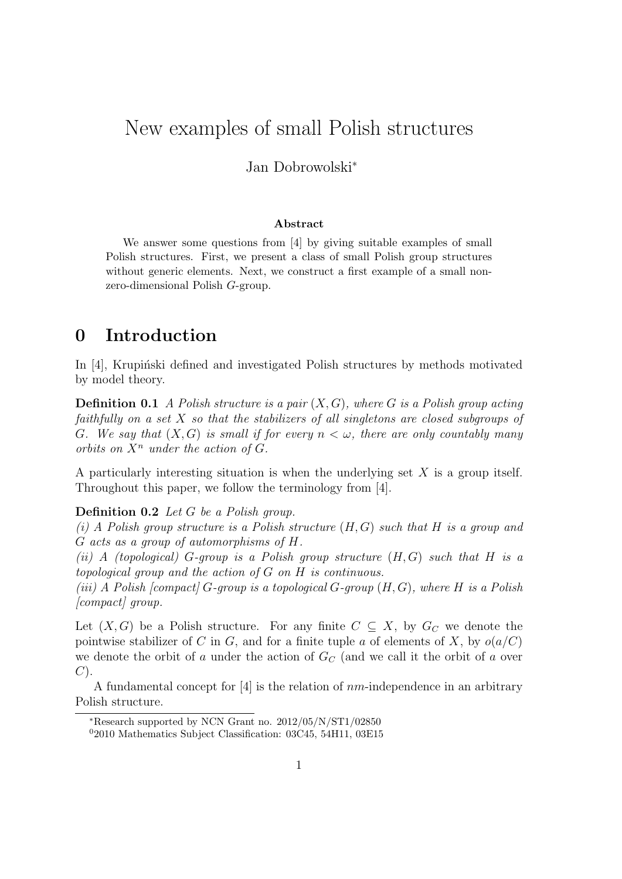# New examples of small Polish structures

### Jan Dobrowolski<sup>∗</sup>

### Abstract

We answer some questions from [4] by giving suitable examples of small Polish structures. First, we present a class of small Polish group structures without generic elements. Next, we construct a first example of a small nonzero-dimensional Polish G-group.

### 0 Introduction

In  $[4]$ , Krupinski defined and investigated Polish structures by methods motivated by model theory.

**Definition 0.1** A Polish structure is a pair  $(X, G)$ , where G is a Polish group acting faithfully on a set X so that the stabilizers of all singletons are closed subgroups of G. We say that  $(X, G)$  is small if for every  $n < \omega$ , there are only countably many orbits on  $X^n$  under the action of  $G$ .

A particularly interesting situation is when the underlying set  $X$  is a group itself. Throughout this paper, we follow the terminology from [4].

### Definition 0.2 Let G be a Polish group.

(i) A Polish group structure is a Polish structure  $(H, G)$  such that H is a group and G acts as a group of automorphisms of H.

(ii) A (topological) G-group is a Polish group structure  $(H, G)$  such that H is a topological group and the action of G on H is continuous.

(iii) A Polish [compact] G-group is a topological G-group  $(H, G)$ , where H is a Polish [compact] group.

Let  $(X, G)$  be a Polish structure. For any finite  $C \subseteq X$ , by  $G_C$  we denote the pointwise stabilizer of C in G, and for a finite tuple a of elements of X, by  $o(a/C)$ we denote the orbit of a under the action of  $G_C$  (and we call it the orbit of a over  $C$ ).

A fundamental concept for  $[4]$  is the relation of  $nm$ -independence in an arbitrary Polish structure.

<sup>∗</sup>Research supported by NCN Grant no. 2012/05/N/ST1/02850

 $02010$  Mathematics Subject Classification: 03C45, 54H11, 03E15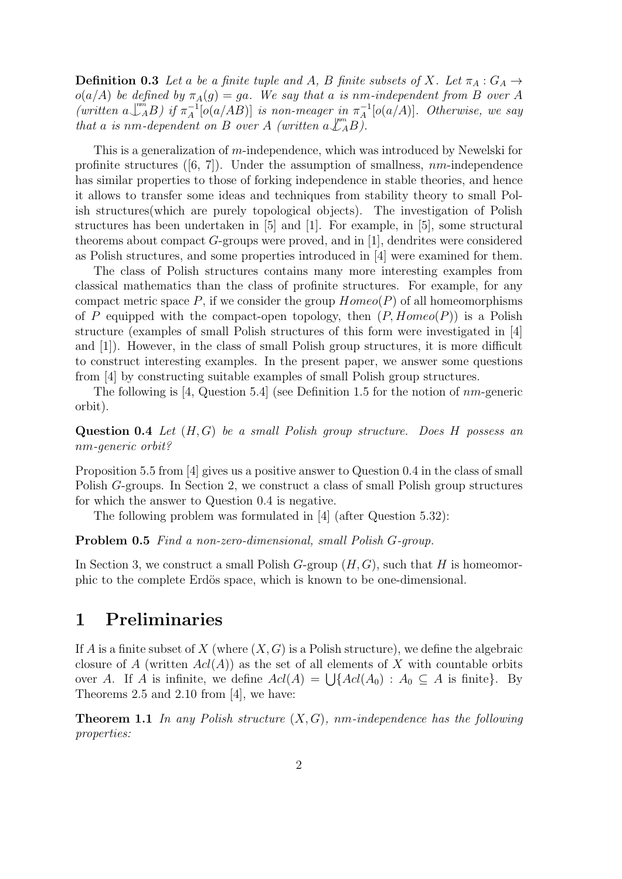**Definition 0.3** Let a be a finite tuple and A, B finite subsets of X. Let  $\pi_A : G_A \rightarrow$  $o(a/A)$  be defined by  $\pi_A(g) = ga$ . We say that a is nm-independent from B over A (written  $a\bigcup_{A}^{m\tilde{n}}B$ ) if  $\pi_A^{-1}$  $\pi_A^{-1}[\overline{o}(a/AB)]$  is non-meager in  $\pi_A^{-1}$  $\bar{A}^1[o(a/A)]$ . Otherwise, we say that a is nm-dependent on B over A (written  $a\mathcal{L}_AB$ ).

This is a generalization of m-independence, which was introduced by Newelski for profinite structures  $([6, 7])$ . Under the assumption of smallness, nm-independence has similar properties to those of forking independence in stable theories, and hence it allows to transfer some ideas and techniques from stability theory to small Polish structures(which are purely topological objects). The investigation of Polish structures has been undertaken in [5] and [1]. For example, in [5], some structural theorems about compact  $G$ -groups were proved, and in [1], dendrites were considered as Polish structures, and some properties introduced in [4] were examined for them.

The class of Polish structures contains many more interesting examples from classical mathematics than the class of profinite structures. For example, for any compact metric space P, if we consider the group  $Homeo(P)$  of all homeomorphisms of P equipped with the compact-open topology, then  $(P, Homeo(P))$  is a Polish structure (examples of small Polish structures of this form were investigated in [4] and [1]). However, in the class of small Polish group structures, it is more difficult to construct interesting examples. In the present paper, we answer some questions from [4] by constructing suitable examples of small Polish group structures.

The following is [4, Question 5.4] (see Definition 1.5 for the notion of  $nm$ -generic orbit).

Question 0.4 Let  $(H, G)$  be a small Polish group structure. Does H possess an nm-generic orbit?

Proposition 5.5 from [4] gives us a positive answer to Question 0.4 in the class of small Polish G-groups. In Section 2, we construct a class of small Polish group structures for which the answer to Question 0.4 is negative.

The following problem was formulated in [4] (after Question 5.32):

Problem 0.5 Find a non-zero-dimensional, small Polish G-group.

In Section 3, we construct a small Polish  $G$ -group  $(H, G)$ , such that H is homeomorphic to the complete Erdös space, which is known to be one-dimensional.

### 1 Preliminaries

If A is a finite subset of X (where  $(X, G)$  is a Polish structure), we define the algebraic closure of A (written  $Ad(A)$ ) as the set of all elements of X with countable orbits over A. If A is infinite, we define  $\text{Ad}(A) = \bigcup \{ \text{Ad}(A_0) : A_0 \subseteq A \text{ is finite} \}.$  By Theorems 2.5 and 2.10 from [4], we have:

**Theorem 1.1** In any Polish structure  $(X, G)$ , nm-independence has the following properties: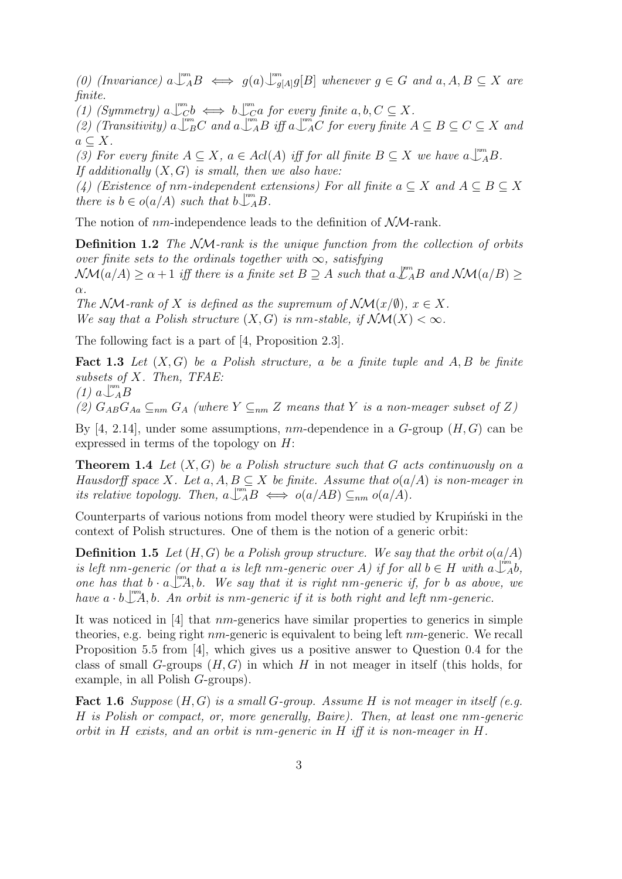(0) (Invariance)  $a \perp_A^m B \iff g(a) \perp_{g[A]}^m g[B]$  whenever  $g \in G$  and  $a, A, B \subseteq X$  are finite.

(1) (Symmetry)  $a \bigcup_{C}^{m} b \iff b \bigcup_{C}^{m} a$  for every finite  $a, b, C \subseteq X$ .

(2) (Transitivity)  $a \perp_{B}^{m}C$  and  $a \perp_{A}^{m}B$  iff  $a \perp_{A}^{m}C$  for every finite  $A \subseteq B \subseteq C \subseteq X$  and  $a \subseteq X$ .

(3) For every finite  $A \subseteq X$ ,  $a \in \text{Ad}(A)$  iff for all finite  $B \subseteq X$  we have  $a \bigcup_{A}^{m} B$ . If additionally  $(X, G)$  is small, then we also have:

(4) (Existence of nm-independent extensions) For all finite  $a \subseteq X$  and  $A \subseteq B \subseteq X$ there is  $b \in o(a/A)$  such that  $b\bigcup_{A}^{mn}B$ .

The notion of  $nm$ -independence leads to the definition of  $N\mathcal{M}$ -rank.

Definition 1.2 The NM-rank is the unique function from the collection of orbits over finite sets to the ordinals together with  $\infty$ , satisfying  $\mathcal{N}\mathcal{M}(a/A) \geq \alpha+1$  iff there is a finite set  $B \supseteq A$  such that  $a \mathcal{L}_A^{m}B$  and  $\mathcal{N}\mathcal{M}(a/B) \geq$  $\alpha$ .

The NM-rank of X is defined as the supremum of  $\mathcal{N}\mathcal{M}(x/\emptyset)$ ,  $x \in X$ . We say that a Polish structure  $(X, G)$  is nm-stable, if  $\mathcal{N}\mathcal{M}(X) < \infty$ .

The following fact is a part of [4, Proposition 2.3].

**Fact 1.3** Let  $(X, G)$  be a Polish structure, a be a finite tuple and A, B be finite subsets of X. Then, TFAE: nm

$$
(1) a \bigcup_{A}^{m} B
$$

(2)  $G_{AB}G_{Aa} \subseteq_{nm} G_A$  (where  $Y \subseteq_{nm} Z$  means that Y is a non-meager subset of Z)

By [4, 2.14], under some assumptions,  $nm$ -dependence in a  $G$ -group  $(H, G)$  can be expressed in terms of the topology on H:

**Theorem 1.4** Let  $(X, G)$  be a Polish structure such that G acts continuously on a Hausdorff space X. Let  $a, A, B \subseteq X$  be finite. Assume that  $o(a/A)$  is non-meager in its relative topology. Then,  $a \bigcup_{A}^{m} B \iff o(a/AB) \subseteq_{nm} o(a/A)$ .

Counterparts of various notions from model theory were studied by Krupinski in the context of Polish structures. One of them is the notion of a generic orbit:

**Definition 1.5** Let  $(H, G)$  be a Polish group structure. We say that the orbit  $o(a/A)$ is left nm-generic (or that a is left nm-generic over A) if for all  $b \in H$  with  $a \downarrow^{m}$ ,  $b$ , one has that  $b \cdot a \bigcup_{m=1}^{\infty} A$ , b. We say that it is right nm-generic if, for b as above, we have  $a \cdot b \Box^m A$ , b. An orbit is nm-generic if it is both right and left nm-generic.

It was noticed in [4] that nm-generics have similar properties to generics in simple theories, e.g. being right  $nm$ -generic is equivalent to being left  $nm$ -generic. We recall Proposition 5.5 from [4], which gives us a positive answer to Question 0.4 for the class of small G-groups  $(H, G)$  in which H in not meager in itself (this holds, for example, in all Polish G-groups).

**Fact 1.6** Suppose  $(H, G)$  is a small G-group. Assume H is not meager in itself (e.g. H is Polish or compact, or, more generally, Baire). Then, at least one nm-generic orbit in H exists, and an orbit is nm-generic in H iff it is non-meager in H.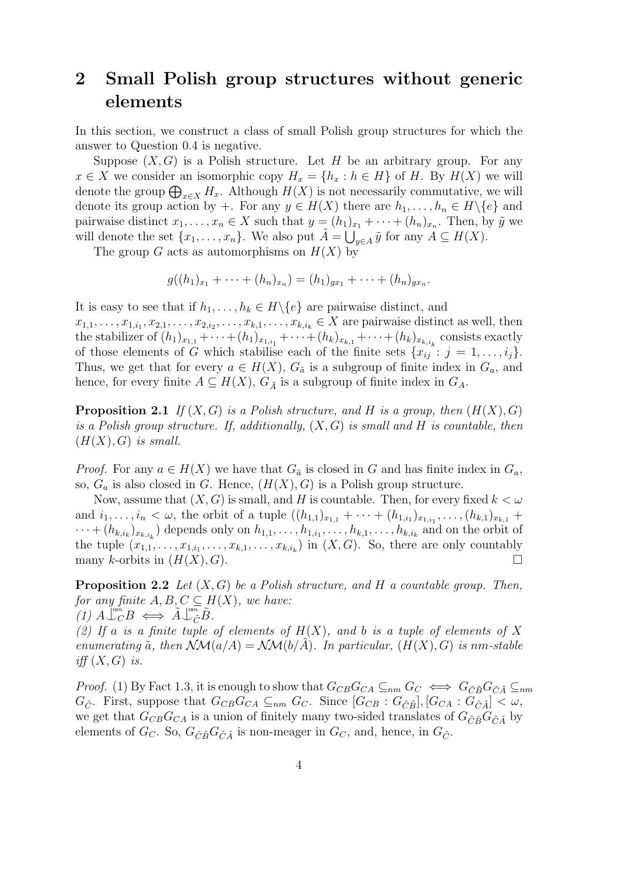# 2 Small Polish group structures without generic elements

In this section, we construct a class of small Polish group structures for which the answer to Question 0.4 is negative.

Suppose  $(X, G)$  is a Polish structure. Let H be an arbitrary group. For any  $x \in X$  we consider an isomorphic copy  $H_x = \{h_x : h \in H\}$  of H. By  $H(X)$  we will denote the group  $\bigoplus_{x\in X} H_x$ . Although  $H(X)$  is not necessarily commutative, we will denote its group action by +. For any  $y \in H(X)$  there are  $h_1, \ldots, h_n \in H \backslash \{e\}$  and pairwaise distinct  $x_1, \ldots, x_n \in X$  such that  $y = (h_1)_{x_1} + \cdots + (h_n)_{x_n}$ . Then, by  $\tilde{y}$  we will denote the set  $\{x_1, \ldots, x_n\}$ . We also put  $\tilde{A} = \bigcup_{y \in A} \tilde{y}$  for any  $A \subseteq H(X)$ .

The group G acts as automorphisms on  $H(X)$  by

$$
g((h_1)_{x_1} + \cdots + (h_n)_{x_n}) = (h_1)_{gx_1} + \cdots + (h_n)_{gx_n}.
$$

It is easy to see that if  $h_1, \ldots, h_k \in H \backslash \{e\}$  are pairwaise distinct, and

 $x_{1,1}, \ldots, x_{1,i_1}, x_{2,1}, \ldots, x_{2,i_2}, \ldots, x_{k,1}, \ldots, x_{k,i_k} \in X$  are pairwaise distinct as well, then the stabilizer of  $(h_1)_{x_{1,1}} + \cdots + (h_1)_{x_{1,i_1}} + \cdots + (h_k)_{x_{k,1}} + \cdots + (h_k)_{x_{k,i_k}}$  consists exactly of those elements of G which stabilise each of the finite sets  $\{x_{ij} : j = 1, \ldots, i_j\}$ . Thus, we get that for every  $a \in H(X)$ ,  $G_{\tilde{a}}$  is a subgroup of finite index in  $G_a$ , and hence, for every finite  $A \subseteq H(X)$ ,  $G_{\tilde{A}}$  is a subgroup of finite index in  $G_A$ .

**Proposition 2.1** If  $(X, G)$  is a Polish structure, and H is a group, then  $(H(X), G)$ is a Polish group structure. If, additionally,  $(X, G)$  is small and H is countable, then  $(H(X), G)$  is small.

*Proof.* For any  $a \in H(X)$  we have that  $G_{\tilde{a}}$  is closed in G and has finite index in  $G_a$ , so,  $G_a$  is also closed in G. Hence,  $(H(X), G)$  is a Polish group structure.

Now, assume that  $(X, G)$  is small, and H is countable. Then, for every fixed  $k < \omega$ and  $i_1, \ldots, i_n < \omega$ , the orbit of a tuple  $((h_{1,1})_{x_{1,1}} + \cdots + (h_{1,i_1})_{x_{1,i_1}}, \ldots, (h_{k,1})_{x_{k,1}} +$  $\dots + (h_{k,i_k})_{x_{k,i_k}}$  depends only on  $h_{1,1}, \dots, h_{1,i_1}, \dots, h_{k,1}, \dots, h_{k,i_k}$  and on the orbit of the tuple  $(x_{1,1},\ldots,x_{1,i_1},\ldots,x_{k,1},\ldots,x_{k,i_k})$  in  $(X,G)$ . So, there are only countably many k-orbits in  $(H(X), G)$ .

**Proposition 2.2** Let  $(X, G)$  be a Polish structure, and H a countable group. Then, for any finite  $A, B, C \subseteq H(X)$ , we have:  $(1)$   $A\bigcup_{C}^{m}B \iff \tilde{A}\bigcup_{\tilde{C}}^{m}\tilde{B}.$ 

(2) If a is a finite tuple of elements of  $H(X)$ , and b is a tuple of elements of X enumerating  $\tilde{a}$ , then  $\mathcal{N}\mathcal{M}(a/A) = \mathcal{N}\mathcal{M}(b/A)$ . In particular,  $(H(X), G)$  is nm-stable iff  $(X, G)$  is.

*Proof.* (1) By Fact 1.3, it is enough to show that  $G_{CB}G_{CA} \subseteq_{nm} G_C \iff G_{\tilde{C}\tilde{B}}G_{\tilde{C}\tilde{A}} \subseteq_{nm}$  $G_{\tilde{C}}$ . First, suppose that  $G_{CB}G_{CA} \subseteq_{nm} G_C$ . Since  $[G_{CB} : G_{\tilde{C}\tilde{B}}], [G_{CA} : G_{\tilde{C}\tilde{A}}] < \omega$ , we get that  $G_{CB}G_{CA}$  is a union of finitely many two-sided translates of  $G_{\tilde{C}\tilde{B}}G_{\tilde{C}\tilde{A}}$  by elements of  $G_C$ . So,  $G_{\tilde{C}\tilde{B}}G_{\tilde{C}\tilde{A}}$  is non-meager in  $G_C$ , and, hence, in  $G_{\tilde{C}}$ .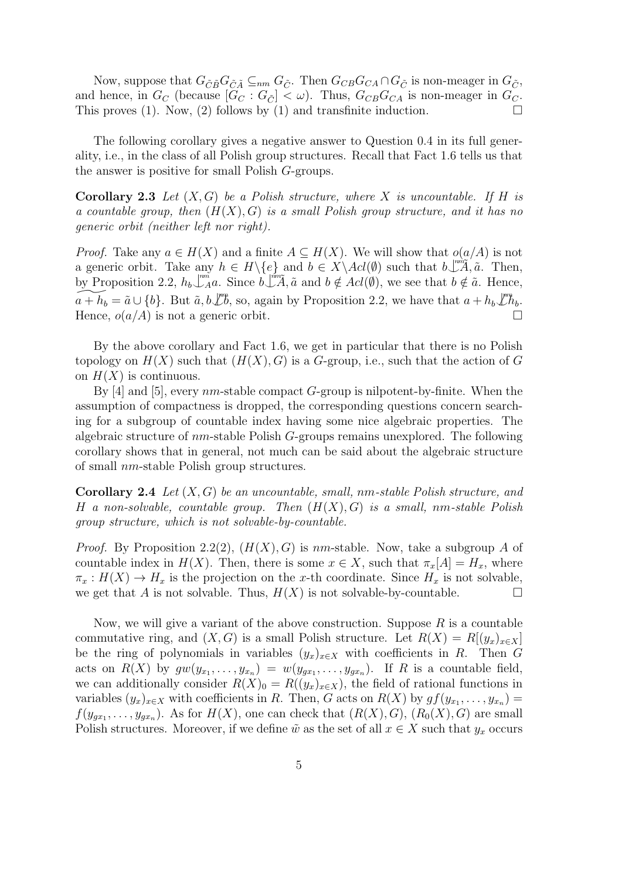Now, suppose that  $G_{\tilde{C}\tilde{B}}G_{\tilde{C}\tilde{A}}\subseteq_{nm}G_{\tilde{C}}$ . Then  $G_{CB}G_{CA}\cap G_{\tilde{C}}$  is non-meager in  $G_{\tilde{C}}$ , and hence, in  $G_C$  (because  $[G_C : G_{\tilde{C}}] < \omega$ ). Thus,  $G_{CB}G_{CA}$  is non-meager in  $G_C$ . This proves (1). Now, (2) follows by (1) and transfinite induction.  $\Box$ 

The following corollary gives a negative answer to Question 0.4 in its full generality, i.e., in the class of all Polish group structures. Recall that Fact 1.6 tells us that the answer is positive for small Polish G-groups.

**Corollary 2.3** Let  $(X, G)$  be a Polish structure, where X is uncountable. If H is a countable group, then  $(H(X), G)$  is a small Polish group structure, and it has no generic orbit (neither left nor right).

*Proof.* Take any  $a \in H(X)$  and a finite  $A \subseteq H(X)$ . We will show that  $o(a/A)$  is not a generic orbit. Take any  $h \in H \setminus \{e\}$  and  $b \in X \setminus \text{Ad}(\emptyset)$  such that  $b \downarrow^m \widetilde{A}, \widetilde{a}$ . Then, by Proposition 2.2,  $h_b\bigcup_{A}^{m\tilde{n}} a$ . Since  $b\bigcup_{A}^{m\tilde{A}} a$  and  $b \notin \text{Ad}(\emptyset)$ , we see that  $b \notin \tilde{a}$ . Hence,  $\widetilde{a + h_b} = \tilde{a} \cup \{b\}.$  But  $\tilde{a}, b \not\downarrow^m b$ , so, again by Proposition 2.2, we have that  $a + h_b \not\downarrow^m h_b$ . Hence,  $o(a/A)$  is not a generic orbit.

By the above corollary and Fact 1.6, we get in particular that there is no Polish topology on  $H(X)$  such that  $(H(X), G)$  is a G-group, i.e., such that the action of G on  $H(X)$  is continuous.

By  $[4]$  and  $[5]$ , every nm-stable compact G-group is nilpotent-by-finite. When the assumption of compactness is dropped, the corresponding questions concern searching for a subgroup of countable index having some nice algebraic properties. The algebraic structure of nm-stable Polish G-groups remains unexplored. The following corollary shows that in general, not much can be said about the algebraic structure of small nm-stable Polish group structures.

**Corollary 2.4** Let  $(X, G)$  be an uncountable, small, nm-stable Polish structure, and H a non-solvable, countable group. Then  $(H(X), G)$  is a small, nm-stable Polish group structure, which is not solvable-by-countable.

*Proof.* By Proposition 2.2(2),  $(H(X), G)$  is nm-stable. Now, take a subgroup A of countable index in  $H(X)$ . Then, there is some  $x \in X$ , such that  $\pi_x[A] = H_x$ , where  $\pi_x : H(X) \to H_x$  is the projection on the x-th coordinate. Since  $H_x$  is not solvable, we get that A is not solvable. Thus,  $H(X)$  is not solvable-by-countable.

Now, we will give a variant of the above construction. Suppose  $R$  is a countable commutative ring, and  $(X, G)$  is a small Polish structure. Let  $R(X) = R[(y_x)_{x \in X}]$ be the ring of polynomials in variables  $(y_x)_{x\in X}$  with coefficients in R. Then G acts on  $R(X)$  by  $gw(y_{x_1},...,y_{x_n}) = w(y_{gx_1},...,y_{gx_n})$ . If R is a countable field, we can additionally consider  $R(X)_0 = R((y_x)_{x \in X})$ , the field of rational functions in variables  $(y_x)_{x \in X}$  with coefficients in R. Then, G acts on  $R(X)$  by  $gf(y_{x_1}, \ldots, y_{x_n}) =$  $f(y_{gx_1}, \ldots, y_{gx_n})$ . As for  $H(X)$ , one can check that  $(R(X), G)$ ,  $(R_0(X), G)$  are small Polish structures. Moreover, if we define  $\tilde{w}$  as the set of all  $x \in X$  such that  $y_x$  occurs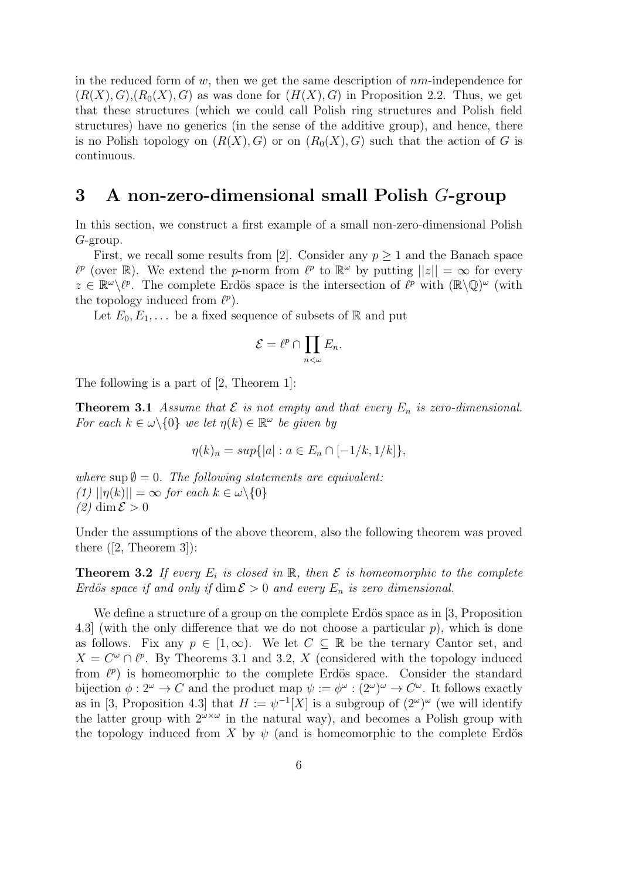in the reduced form of w, then we get the same description of  $nm$ -independence for  $(R(X), G), (R_0(X), G)$  as was done for  $(H(X), G)$  in Proposition 2.2. Thus, we get that these structures (which we could call Polish ring structures and Polish field structures) have no generics (in the sense of the additive group), and hence, there is no Polish topology on  $(R(X), G)$  or on  $(R_0(X), G)$  such that the action of G is continuous.

## 3 A non-zero-dimensional small Polish G-group

In this section, we construct a first example of a small non-zero-dimensional Polish G-group.

First, we recall some results from [2]. Consider any  $p \geq 1$  and the Banach space  $\ell^p$  (over R). We extend the p-norm from  $\ell^p$  to  $\mathbb{R}^\omega$  by putting  $||z|| = \infty$  for every  $z \in \mathbb{R}^{\omega} \backslash \ell^{p}$ . The complete Erdös space is the intersection of  $\ell^{p}$  with  $(\mathbb{R} \backslash \mathbb{Q})^{\omega}$  (with the topology induced from  $\ell^p$ ).

Let  $E_0, E_1, \ldots$  be a fixed sequence of subsets of R and put

$$
\mathcal{E} = \ell^p \cap \prod_{n < \omega} E_n.
$$

The following is a part of [2, Theorem 1]:

**Theorem 3.1** Assume that  $\mathcal E$  is not empty and that every  $E_n$  is zero-dimensional. For each  $k \in \omega \backslash \{0\}$  we let  $\eta(k) \in \mathbb{R}^{\omega}$  be given by

$$
\eta(k)_n = \sup\{|a| : a \in E_n \cap [-1/k, 1/k]\},\
$$

where  $\sup \emptyset = 0$ . The following statements are equivalent:  $(1)$   $||\eta(k)|| = \infty$  for each  $k \in \omega \backslash \{0\}$  $(2)$  dim  $\mathcal{E} > 0$ 

Under the assumptions of the above theorem, also the following theorem was proved there  $([2, Theorem 3])$ :

**Theorem 3.2** If every  $E_i$  is closed in R, then  $\mathcal E$  is homeomorphic to the complete Erdös space if and only if  $\dim \mathcal{E} > 0$  and every  $E_n$  is zero dimensional.

We define a structure of a group on the complete Erdös space as in  $[3, P$ roposition 4.3] (with the only difference that we do not choose a particular p), which is done as follows. Fix any  $p \in [1,\infty)$ . We let  $C \subseteq \mathbb{R}$  be the ternary Cantor set, and  $X = C^{\omega} \cap \ell^{p}$ . By Theorems 3.1 and 3.2, X (considered with the topology induced from  $\ell^p$ ) is homeomorphic to the complete Erdös space. Consider the standard bijection  $\phi: 2^{\omega} \to C$  and the product map  $\psi := \phi^{\omega} : (2^{\omega})^{\omega} \to C^{\omega}$ . It follows exactly as in [3, Proposition 4.3] that  $H := \psi^{-1}[X]$  is a subgroup of  $(2^{\omega})^{\omega}$  (we will identify the latter group with  $2^{\omega \times \omega}$  in the natural way), and becomes a Polish group with the topology induced from X by  $\psi$  (and is homeomorphic to the complete Erdös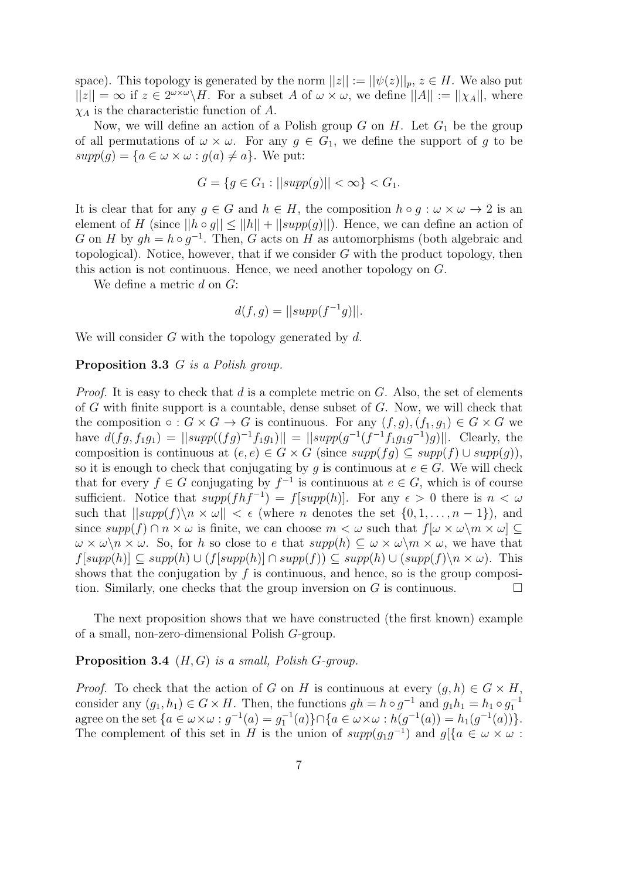space). This topology is generated by the norm  $||z|| := ||\psi(z)||_p$ ,  $z \in H$ . We also put  $||z|| = \infty$  if  $z \in 2^{\omega \times \omega} \backslash H$ . For a subset A of  $\omega \times \omega$ , we define  $||A|| := ||\chi_A||$ , where  $\chi_A$  is the characteristic function of A.

Now, we will define an action of a Polish group  $G$  on  $H$ . Let  $G_1$  be the group of all permutations of  $\omega \times \omega$ . For any  $g \in G_1$ , we define the support of g to be  $supp(q) = \{a \in \omega \times \omega : q(a) \neq a\}.$  We put:

$$
G = \{ g \in G_1 : ||supp(g)|| < \infty \} < G_1.
$$

It is clear that for any  $g \in G$  and  $h \in H$ , the composition  $h \circ g : \omega \times \omega \to 2$  is an element of H (since  $||h \circ q|| \le ||h|| + ||supp(q)||$ ). Hence, we can define an action of G on H by  $gh = h \circ g^{-1}$ . Then, G acts on H as automorphisms (both algebraic and topological). Notice, however, that if we consider  $G$  with the product topology, then this action is not continuous. Hence, we need another topology on G.

We define a metric  $d$  on  $G$ :

$$
d(f,g) = ||supp(f^{-1}g)||.
$$

We will consider  $G$  with the topology generated by  $d$ .

#### Proposition 3.3 G is a Polish group.

*Proof.* It is easy to check that  $d$  is a complete metric on  $G$ . Also, the set of elements of G with finite support is a countable, dense subset of G. Now, we will check that the composition  $\circ : G \times G \to G$  is continuous. For any  $(f, g), (f_1, g_1) \in G \times G$  we have  $d(fg, f_1g_1) = ||supp((fg)^{-1}f_1g_1)|| = ||supp(g^{-1}(f^{-1}f_1g_1g^{-1})g)||$ . Clearly, the composition is continuous at  $(e, e) \in G \times G$  (since  $supp(fq) \subseteq supp(f) \cup supp(q)$ ), so it is enough to check that conjugating by g is continuous at  $e \in G$ . We will check that for every  $f \in G$  conjugating by  $f^{-1}$  is continuous at  $e \in G$ , which is of course sufficient. Notice that  $supp(fhf^{-1}) = f[supp(h)]$ . For any  $\epsilon > 0$  there is  $n < \omega$ such that  $||supp(f)\rangle n \times \omega|| < \epsilon$  (where *n* denotes the set  $\{0, 1, \ldots, n-1\}$ ), and since  $supp(f) \cap n \times \omega$  is finite, we can choose  $m < \omega$  such that  $f[\omega \times \omega \setminus m \times \omega] \subseteq$  $\omega \times \omega \backslash n \times \omega$ . So, for h so close to e that  $supp(h) \subseteq \omega \times \omega \backslash m \times \omega$ , we have that  $f[supp(h)] \subseteq supp(h) \cup (f[supp(h)] \cap supp(f)) \subseteq supp(h) \cup (supp(f)\backslash n \times \omega)$ . This shows that the conjugation by  $f$  is continuous, and hence, so is the group composition. Similarly, one checks that the group inversion on G is continuous.  $\Box$ 

The next proposition shows that we have constructed (the first known) example of a small, non-zero-dimensional Polish G-group.

#### **Proposition 3.4**  $(H, G)$  is a small, Polish G-group.

*Proof.* To check that the action of G on H is continuous at every  $(g, h) \in G \times H$ , consider any  $(g_1, h_1) \in G \times H$ . Then, the functions  $gh = h \circ g^{-1}$  and  $g_1 h_1 = h_1 \circ g_1^{-1}$ agree on the set  $\{a \in \omega \times \omega : g^{-1}(a) = g_1^{-1}(a)\} \cap \{a \in \omega \times \omega : h(g^{-1}(a)) = h_1(g^{-1}(a))\}.$ The complement of this set in H is the union of  $supp(g_1g^{-1})$  and  $g[\{a \in \omega \times \omega :$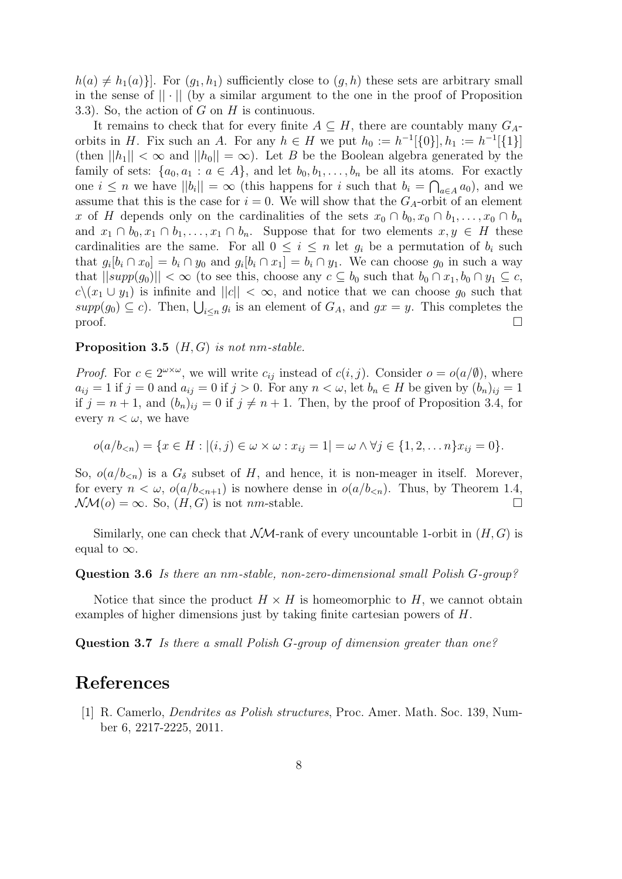$h(a) \neq h_1(a)$ . For  $(g_1, h_1)$  sufficiently close to  $(g, h)$  these sets are arbitrary small in the sense of  $|| \cdot ||$  (by a similar argument to the one in the proof of Proposition 3.3). So, the action of  $G$  on  $H$  is continuous.

It remains to check that for every finite  $A \subseteq H$ , there are countably many  $G_A$ orbits in H. Fix such an A. For any  $h \in H$  we put  $h_0 := h^{-1}[\{0\}], h_1 := h^{-1}[\{1\}]$ (then  $||h_1|| < \infty$  and  $||h_0|| = \infty$ ). Let B be the Boolean algebra generated by the family of sets:  $\{a_0, a_1 : a \in A\}$ , and let  $b_0, b_1, \ldots, b_n$  be all its atoms. For exactly one  $i \leq n$  we have  $||b_i|| = \infty$  (this happens for i such that  $b_i = \bigcap_{a \in A} a_0$ ), and we assume that this is the case for  $i = 0$ . We will show that the  $G_A$ -orbit of an element x of H depends only on the cardinalities of the sets  $x_0 \cap b_0, x_0 \cap b_1, \ldots, x_0 \cap b_n$ and  $x_1 \cap b_0, x_1 \cap b_1, \ldots, x_1 \cap b_n$ . Suppose that for two elements  $x, y \in H$  these cardinalities are the same. For all  $0 \leq i \leq n$  let  $g_i$  be a permutation of  $b_i$  such that  $g_i[b_i \cap x_0] = b_i \cap y_0$  and  $g_i[b_i \cap x_1] = b_i \cap y_1$ . We can choose  $g_0$  in such a way that  $||supp(g_0)|| < \infty$  (to see this, choose any  $c \subseteq b_0$  such that  $b_0 \cap x_1, b_0 \cap y_1 \subseteq c$ ,  $c\,(x_1 \cup y_1)$  is infinite and  $||c|| < \infty$ , and notice that we can choose  $g_0$  such that  $supp(g_0) \subseteq c$ . Then,  $\bigcup_{i \leq n} g_i$  is an element of  $G_A$ , and  $gx = y$ . This completes the proof.  $\Box$ 

#### **Proposition 3.5** ( $H, G$ ) is not nm-stable.

*Proof.* For  $c \in 2^{\omega \times \omega}$ , we will write  $c_{ij}$  instead of  $c(i, j)$ . Consider  $o = o(a/\emptyset)$ , where  $a_{ij} = 1$  if  $j = 0$  and  $a_{ij} = 0$  if  $j > 0$ . For any  $n < \omega$ , let  $b_n \in H$  be given by  $(b_n)_{ij} = 1$ if  $j = n + 1$ , and  $(b_n)_{ij} = 0$  if  $j \neq n + 1$ . Then, by the proof of Proposition 3.4, for every  $n < \omega$ , we have

$$
o(a/b_{\leq n}) = \{x \in H : |(i, j) \in \omega \times \omega : x_{ij} = 1| = \omega \wedge \forall j \in \{1, 2, \dots n\} x_{ij} = 0\}.
$$

So,  $o(a/b_{\leq n})$  is a  $G_{\delta}$  subset of H, and hence, it is non-meager in itself. Morever, for every  $n < \omega$ ,  $o(a/b_{n+1})$  is nowhere dense in  $o(a/b_{n})$ . Thus, by Theorem 1.4,  $\mathcal{N}\mathcal{M}(o) = \infty$ . So,  $(H, G)$  is not *nm*-stable.

Similarly, one can check that  $\mathcal{NM}$ -rank of every uncountable 1-orbit in  $(H, G)$  is equal to  $\infty$ .

Question 3.6 Is there an nm-stable, non-zero-dimensional small Polish G-group?

Notice that since the product  $H \times H$  is homeomorphic to H, we cannot obtain examples of higher dimensions just by taking finite cartesian powers of H.

Question 3.7 Is there a small Polish G-group of dimension greater than one?

### References

[1] R. Camerlo, Dendrites as Polish structures, Proc. Amer. Math. Soc. 139, Number 6, 2217-2225, 2011.